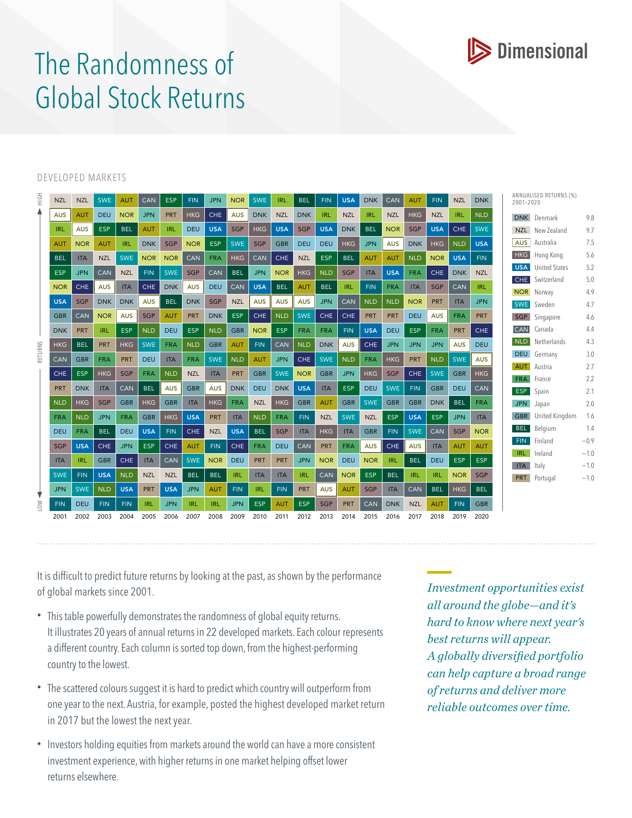

## The Randomness of Global Stock Returns

## DEVELOPED MARKETS

| HOH         | <b>NZL</b> | <b>NZL</b> | <b>SWE</b> | <b>AUT</b> | CAN        | <b>ESP</b> | <b>FIN</b> | <b>JPN</b> | <b>NOR</b> | <b>SWE</b> | IRL        | <b>BEL</b> | <b>FIN</b> | <b>USA</b> | <b>DNK</b> | <b>CAN</b> | AUT        | <b>FIN</b> | <b>NZL</b> | <b>DNK</b> | ANNUALISED RETURNS (%)<br>2001-2020 |                      |        |
|-------------|------------|------------|------------|------------|------------|------------|------------|------------|------------|------------|------------|------------|------------|------------|------------|------------|------------|------------|------------|------------|-------------------------------------|----------------------|--------|
|             | <b>AUS</b> | <b>AUT</b> | <b>DEU</b> | <b>NOR</b> | <b>JPN</b> | <b>PRT</b> | <b>HKG</b> | <b>CHE</b> | <b>AUS</b> | <b>DNK</b> | <b>NZL</b> | <b>DNK</b> | <b>IRL</b> | <b>NZL</b> | <b>IRL</b> | <b>NZL</b> | <b>HKG</b> | <b>NZL</b> | <b>IRL</b> | <b>NLD</b> |                                     | DNK Denmark          | 9.8    |
| RETURNS     | <b>IRL</b> | <b>AUS</b> | <b>ESP</b> | <b>BEL</b> | <b>AUT</b> | <b>IRL</b> | <b>DEU</b> | <b>USA</b> | SGP        | <b>HKG</b> | <b>USA</b> | <b>SGP</b> | <b>USA</b> | <b>DNK</b> | <b>BEL</b> | <b>NOR</b> | <b>SGP</b> | <b>USA</b> | <b>CHE</b> | <b>SWE</b> | <b>NZL</b>                          | New Zealand          | 9.7    |
|             | AUT        | <b>NOR</b> | <b>AUT</b> | <b>IRL</b> | <b>DNK</b> | <b>SGP</b> | <b>NOR</b> | <b>ESP</b> | <b>SWE</b> | <b>SGP</b> | <b>GBR</b> | <b>DEU</b> | <b>DEU</b> | <b>HKG</b> | <b>JPN</b> | <b>AUS</b> | <b>DNK</b> | <b>HKG</b> | <b>NLD</b> | <b>USA</b> | <b>AUS</b>                          | Australia            | 7.5    |
|             | <b>BEL</b> | <b>ITA</b> | <b>NZL</b> | <b>SWE</b> | <b>NOR</b> | <b>NOR</b> | CAN        | <b>FRA</b> | <b>HKG</b> | CAN        | CHE        | <b>NZL</b> | <b>ESP</b> | <b>BEL</b> | <b>AUT</b> | <b>AUT</b> | <b>NLD</b> | <b>NOR</b> | <b>USA</b> | <b>FIN</b> | <b>HKG</b>                          | Hong Kong            | 5.6    |
|             | <b>ESP</b> | <b>JPN</b> | CAN        | <b>NZL</b> | <b>FIN</b> | <b>SWE</b> | <b>SGP</b> | CAN        | <b>BEL</b> | <b>JPN</b> | <b>NOR</b> | <b>HKG</b> | <b>NLD</b> | SGP        | <b>ITA</b> | <b>USA</b> | <b>FRA</b> | <b>CHE</b> | <b>DNK</b> | <b>NZL</b> | <b>USA</b>                          | <b>United States</b> | 5.2    |
|             | <b>NOR</b> | <b>CHE</b> | <b>AUS</b> | <b>ITA</b> | <b>CHE</b> | <b>DNK</b> | <b>AUS</b> | <b>DEU</b> | CAN        | <b>USA</b> | <b>BEL</b> | <b>AUT</b> | <b>BEL</b> | <b>IRL</b> | <b>FIN</b> | <b>FRA</b> | <b>ITA</b> | <b>SGP</b> | CAN        | <b>IRL</b> | CHE                                 | Switzerland          | 5.0    |
|             |            |            |            |            |            |            |            |            |            |            |            |            |            |            |            |            |            |            |            |            |                                     | <b>NOR</b> Norway    | 4.9    |
|             | <b>USA</b> | <b>SGP</b> | <b>DNK</b> | <b>DNK</b> | <b>AUS</b> | <b>BEL</b> | <b>DNK</b> | <b>SGP</b> | <b>NZL</b> | <b>AUS</b> | <b>AUS</b> | <b>AUS</b> | <b>JPN</b> | CAN        | <b>NLD</b> | <b>NLD</b> | <b>NOR</b> | <b>PRT</b> | <b>ITA</b> | <b>JPN</b> |                                     | SWE Sweden           | 4.7    |
|             | <b>GBR</b> | CAN        | <b>NOR</b> | <b>AUS</b> | SGP        | <b>AUT</b> | <b>PRT</b> | <b>DNK</b> | <b>ESP</b> | <b>CHE</b> | <b>NLD</b> | <b>SWE</b> | <b>CHE</b> | <b>CHE</b> | PRT        | PRT        | <b>DEU</b> | <b>AUS</b> | <b>FRA</b> | PRT        |                                     | SGP Singapore        | 4.6    |
|             | <b>DNK</b> | <b>PRT</b> | <b>IRL</b> | <b>ESP</b> | <b>NLD</b> | <b>DEU</b> | <b>ESP</b> | <b>NLD</b> | <b>GBR</b> | <b>NOR</b> | <b>ESP</b> | <b>FRA</b> | <b>FRA</b> | <b>FIN</b> | <b>USA</b> | <b>DEU</b> | <b>ESP</b> | <b>FRA</b> | <b>PRT</b> | <b>CHE</b> | <b>CAN</b>                          | Canada               | 4.4    |
|             | <b>HKG</b> | <b>BEL</b> | <b>PRT</b> | <b>HKG</b> | <b>SWE</b> | <b>FRA</b> | <b>NLD</b> | <b>GBR</b> | <b>AUT</b> | <b>FIN</b> | CAN        | <b>NLD</b> | <b>DNK</b> | <b>AUS</b> | <b>CHE</b> | <b>JPN</b> | <b>JPN</b> | <b>JPN</b> | <b>AUS</b> | <b>DEU</b> | <b>NLD</b>                          | Netherlands          | 4.3    |
|             | CAN        | <b>GBR</b> | <b>FRA</b> | <b>PRT</b> | <b>DEU</b> | <b>ITA</b> | <b>FRA</b> | <b>SWE</b> | <b>NLD</b> | <b>AUT</b> | <b>JPN</b> | CHE        | <b>SWE</b> | <b>NLD</b> | <b>FRA</b> | <b>HKG</b> | PRT        | <b>NLD</b> | <b>SWE</b> | <b>AUS</b> | <b>DEU</b>                          | Germany              | 3.0    |
|             | <b>CHE</b> | <b>ESP</b> | <b>HKG</b> | SGP        | <b>FRA</b> | <b>NLD</b> | <b>NZL</b> | <b>ITA</b> | PRT        | <b>GBR</b> | <b>SWE</b> | <b>NOR</b> | <b>GBR</b> | <b>JPN</b> | <b>HKG</b> | SGP        | CHE.       | <b>SWE</b> | <b>GBR</b> | <b>HKG</b> | AUT                                 | Austria              | 2.7    |
|             |            |            |            |            |            |            |            |            |            |            |            |            |            |            |            |            |            |            |            |            | <b>FRA</b>                          | France               | 2.2    |
|             | PRT        | <b>DNK</b> | <b>ITA</b> | CAN        | <b>BEL</b> | <b>AUS</b> | <b>GBR</b> | <b>AUS</b> | <b>DNK</b> | <b>DEU</b> | <b>DNK</b> | <b>USA</b> | <b>ITA</b> | <b>ESP</b> | <b>DEU</b> | <b>SWE</b> | <b>FIN</b> | <b>GBR</b> | <b>DEU</b> | CAN        | <b>ESP</b>                          | Spain                | 2.1    |
|             | <b>NLD</b> | <b>HKG</b> | SGP        | <b>GBR</b> | <b>HKG</b> | <b>GBR</b> | <b>ITA</b> | <b>HKG</b> | <b>FRA</b> | <b>NZL</b> | <b>HKG</b> | <b>GBR</b> | <b>AUT</b> | <b>GBR</b> | <b>SWE</b> | <b>GBR</b> | <b>GBR</b> | <b>DNK</b> | <b>BEL</b> | <b>FRA</b> | <b>JPN</b>                          | Japan                | 2.0    |
|             | <b>FRA</b> | <b>NLD</b> | <b>JPN</b> | <b>FRA</b> | <b>GBR</b> | <b>HKG</b> | <b>USA</b> | <b>PRT</b> | <b>ITA</b> | <b>NLD</b> | <b>FRA</b> | <b>FIN</b> | <b>NZL</b> | <b>SWE</b> | <b>NZL</b> | <b>ESP</b> | <b>USA</b> | <b>ESP</b> | <b>JPN</b> | <b>ITA</b> | <b>GBR</b>                          | United Kingdom       | 1.6    |
|             | <b>DEU</b> | <b>FRA</b> | <b>BEL</b> | <b>DEU</b> | <b>USA</b> | <b>FIN</b> | <b>CHE</b> | <b>NZL</b> | <b>USA</b> | <b>BEL</b> | <b>SGP</b> | <b>ITA</b> | <b>HKG</b> | <b>ITA</b> | <b>GBR</b> | <b>FIN</b> | <b>SWE</b> | CAN        | SGP        | <b>NOR</b> | BEL                                 | Belgium              | 1.4    |
|             | <b>SGP</b> | <b>USA</b> | <b>CHE</b> | <b>JPN</b> | <b>ESP</b> | <b>CHE</b> | <b>AUT</b> | <b>FIN</b> | <b>CHE</b> | <b>FRA</b> | <b>DEU</b> | <b>CAN</b> | <b>PRT</b> | <b>FRA</b> | <b>AUS</b> | <b>CHE</b> | <b>AUS</b> | <b>ITA</b> | <b>AUT</b> | <b>AUT</b> | FIN.                                | Finland              | $-0.9$ |
|             | <b>ITA</b> | <b>IRL</b> | <b>GBR</b> | CHE        | <b>ITA</b> | CAN        | <b>SWE</b> | <b>NOR</b> | <b>DEU</b> | <b>PRT</b> | <b>PRT</b> | <b>JPN</b> | <b>NOR</b> | <b>DEU</b> | <b>NOR</b> | <b>IRL</b> | <b>BEL</b> | <b>DEU</b> | <b>ESP</b> | <b>ESP</b> | <b>IRL</b>                          | Ireland              | $-1.0$ |
|             |            |            |            |            |            |            |            |            |            |            |            |            |            |            |            |            |            |            |            |            | <b>ITA</b>                          | Italy                | $-1.0$ |
|             | <b>SWE</b> | <b>FIN</b> | <b>USA</b> | <b>NLD</b> | <b>NZL</b> | <b>NZL</b> | <b>BEL</b> | <b>BEL</b> | <b>IRL</b> | <b>ITA</b> | <b>ITA</b> | <b>IRL</b> | CAN        | <b>NOR</b> | ESP        | <b>BEL</b> | <b>IRL</b> | <b>IRL</b> | <b>NOR</b> | SGP        | <b>PRT</b>                          | Portugal             | $-1.0$ |
| $\geqslant$ | <b>JPN</b> | <b>SWE</b> | <b>NLD</b> | <b>USA</b> | <b>PRT</b> | <b>USA</b> | <b>JPN</b> | <b>AUT</b> | FIN.       | IRL.       | <b>FIN</b> | PRT        | <b>AUS</b> | <b>AUT</b> | SGP        | <b>ITA</b> | CAN        | <b>BEL</b> | <b>HKG</b> | <b>BEL</b> |                                     |                      |        |
|             | <b>FIN</b> | <b>DEU</b> | <b>FIN</b> | <b>FIN</b> | IRL.       | <b>JPN</b> | <b>IRL</b> | <b>IRL</b> | <b>JPN</b> | <b>ESP</b> | <b>AUT</b> | <b>ESP</b> | <b>SGP</b> | <b>PRT</b> | CAN        | <b>DNK</b> | <b>NZL</b> | <b>AUT</b> | <b>FIN</b> | <b>GBR</b> |                                     |                      |        |
|             | 2001       | 2002       | 2003       | 2004       | 2005       | 2006       | 2007       | 2008       | 2009       | 2010       | 2011       | 2012       | 2013       | 2014       | 2015       | 2016       | 2017       | 2018       | 2019       | 2020       |                                     |                      |        |

It is difficult to predict future returns by looking at the past, as shown by the performance of global markets since 2001.

- This table powerfully demonstrates the randomness of global equity returns. It illustrates 20 years of annual returns in 22 developed markets. Each colour represents a different country. Each column is sorted top down, from the highest-performing country to the lowest.
- The scattered colours suggest it is hard to predict which country will outperform from one year to the next. Austria, for example, posted the highest developed market return in 2017 but the lowest the next year.
- Investors holding equities from markets around the world can have a more consistent investment experience, with higher returns in one market helping offset lower returns elsewhere.

*Investment opportunities exist all around the globe—and it's hard to know where next year's best returns will appear. A globally diversified portfolio can help capture a broad range of returns and deliver more reliable outcomes over time.*